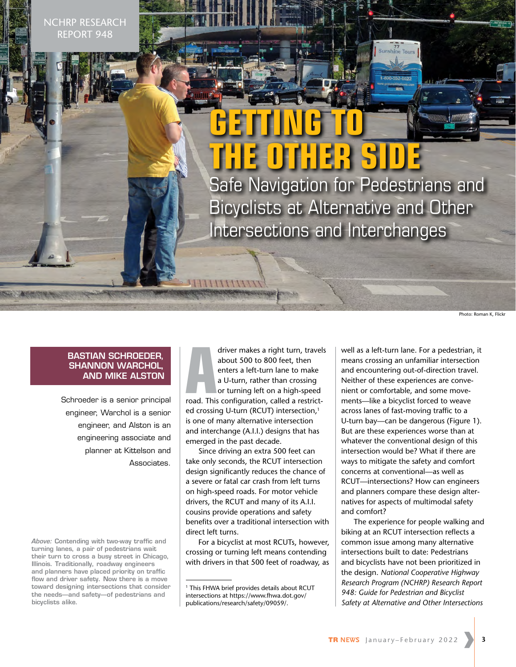NCHRP RESEARCH REPORT 948

# **GETTING TO THE OTHER SIDE**

Safe Navigation for Pedestrians and Bicyclists at Alternative and Other Intersections and Interchanges

#### **BASTIAN SCHROEDER, SHANNON WARCHOL, AND MIKE ALSTON**

Schroeder is a senior principal engineer, Warchol is a senior engineer, and Alston is an engineering associate and planner at Kittelson and Associates.

*Above:* **Contending with two-way traffic and turning lanes, a pair of pedestrians wait their turn to cross a busy street in Chicago, Illinois. Traditionally, roadway engineers and planners have placed priority on traffic flow and driver safety. Now there is a move toward designing intersections that consider the needs—and safety—of pedestrians and**  Above: Contend<br>turning lanes, a<br>their turn to cre<br>Illinois. Tradition<br>and planners ha<br>flow and driver<br>toward designin<br>the needs—and<br>bicyclists alike.

driver makes a right turn, travel<br>about 500 to 800 feet, then<br>enters a left-turn lane to make<br>a U-turn, rather than crossing<br>or turning left on a high-speed<br>road. This configuration, called a restrictdriver makes a right turn, travels about 500 to 800 feet, then enters a left-turn lane to make a U-turn, rather than crossing or turning left on a high-speed ed crossing U-turn (RCUT) intersection,<sup>1</sup> is one of many alternative intersection and interchange (A.I.I.) designs that has emerged in the past decade.

Since driving an extra 500 feet can take only seconds, the RCUT intersection design significantly reduces the chance of a severe or fatal car crash from left turns on high-speed roads. For motor vehicle drivers, the RCUT and many of its A.I.I. cousins provide operations and safety benefits over a traditional intersection with direct left turns.

For a bicyclist at most RCUTs, however, crossing or turning left means contending with drivers in that 500 feet of roadway, as well as a left-turn lane. For a pedestrian, it means crossing an unfamiliar intersection and encountering out-of-direction travel. Neither of these experiences are convenient or comfortable, and some movements—like a bicyclist forced to weave across lanes of fast-moving traffic to a U-turn bay—can be dangerous (Figure 1). But are these experiences worse than at whatever the conventional design of this intersection would be? What if there are ways to mitigate the safety and comfort concerns at conventional—as well as RCUT—intersections? How can engineers and planners compare these design alternatives for aspects of multimodal safety and comfort?

Photo: Roman K, Flickr

The experience for people walking and biking at an RCUT intersection reflects a common issue among many alternative intersections built to date: Pedestrians and bicyclists have not been prioritized in the design. *National Cooperative Highway Research Program (NCHRP) Research Report 948: Guide for Pedestrian and Bicyclist Safety at Alternative and Other Intersections* 

<sup>&</sup>lt;sup>1</sup> This FHWA brief provides details about RCUT intersections at [https://www.fhwa.dot.gov/](https://www.fhwa.dot.gov/publications/research/safety/09059/) [publications/research/safety/09059/](https://www.fhwa.dot.gov/publications/research/safety/09059/).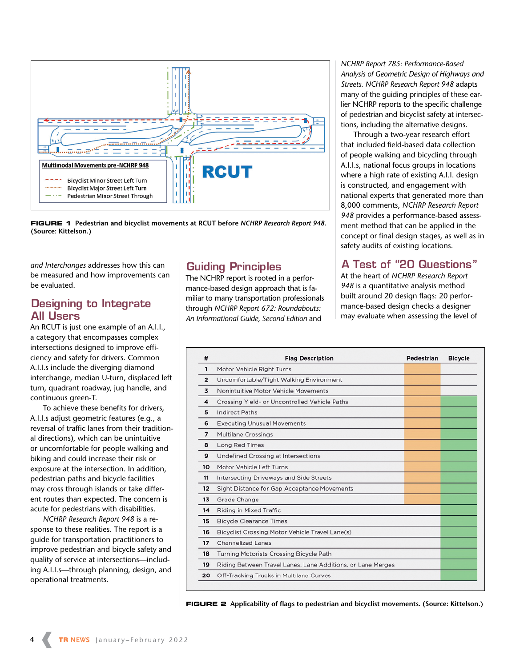

**FIGURE 1 Pedestrian and bicyclist movements at RCUT before** *NCHRP Research Report 948***. (Source: Kittelson.)**

*and Interchanges* addresses how this can be measured and how improvements can be evaluated.

#### **Designing to Integrate All Users**

An RCUT is just one example of an A.I.I., a category that encompasses complex intersections designed to improve efficiency and safety for drivers. Common A.I.I.s include the diverging diamond interchange, median U-turn, displaced left turn, quadrant roadway, jug handle, and continuous green-T.

To achieve these benefits for drivers, A.I.I.s adjust geometric features (e.g., a reversal of traffic lanes from their traditional directions), which can be unintuitive or uncomfortable for people walking and biking and could increase their risk or exposure at the intersection. In addition, pedestrian paths and bicycle facilities may cross through islands or take different routes than expected. The concern is acute for pedestrians with disabilities.

*NCHRP Research Report 948* is a response to these realities. The report is a guide for transportation practitioners to improve pedestrian and bicycle safety and quality of service at intersections—including A.I.I.s—through planning, design, and operational treatments.

### **Guiding Principles**

The NCHRP report is rooted in a performance-based design approach that is familiar to many transportation professionals through *NCHRP Report 672: Roundabouts: An Informational Guide, Second Edition* and

*NCHRP Report 785: Performance-Based Analysis of Geometric Design of Highways and Streets. NCHRP Research Report 948* adapts many of the guiding principles of these earlier NCHRP reports to the specific challenge of pedestrian and bicyclist safety at intersections, including the alternative designs.

Through a two-year research effort that included field-based data collection of people walking and bicycling through A.I.I.s, national focus groups in locations where a high rate of existing A.I.I. design is constructed, and engagement with national experts that generated more than 8,000 comments, *NCHRP Research Report 948* provides a performance-based assessment method that can be applied in the concept or final design stages, as well as in safety audits of existing locations.

# **A Test of "20 Questions"**

At the heart of *NCHRP Research Report 948* is a quantitative analysis method built around 20 design flags: 20 performance-based design checks a designer may evaluate when assessing the level of

| #                       | <b>Flag Description</b>                                     | Pedestrian | <b>Bicycle</b> |
|-------------------------|-------------------------------------------------------------|------------|----------------|
| 1                       | Motor Vehicle Right Turns                                   |            |                |
| $\overline{\mathbf{2}}$ | Uncomfortable/Tight Walking Environment                     |            |                |
| 3                       | Nonintuitive Motor Vehicle Movements                        |            |                |
| $\overline{\mathbf{A}}$ | Crossing Yield- or Uncontrolled Vehicle Paths               |            |                |
| 5                       | <b>Indirect Paths</b>                                       |            |                |
| 6                       | <b>Executing Unusual Movements</b>                          |            |                |
| $\overline{7}$          | <b>Multilane Crossings</b>                                  |            |                |
| 8                       | Long Red Times                                              |            |                |
| 9                       | Undefined Crossing at Intersections                         |            |                |
| 10                      | Motor Vehicle Left Turns                                    |            |                |
| 11                      | <b>Intersecting Driveways and Side Streets</b>              |            |                |
| 12                      | Sight Distance for Gap Acceptance Movements                 |            |                |
| 13                      | Grade Change                                                |            |                |
| 14                      | Riding in Mixed Traffic                                     |            |                |
| 15                      | <b>Bicycle Clearance Times</b>                              |            |                |
| 16                      | Bicyclist Crossing Motor Vehicle Travel Lane(s)             |            |                |
| 17                      | <b>Channelized Lanes</b>                                    |            |                |
| 18                      | <b>Turning Motorists Crossing Bicycle Path</b>              |            |                |
| 19                      | Riding Between Travel Lanes, Lane Additions, or Lane Merges |            |                |
| 20                      | Off-Tracking Trucks in Multilane Curves                     |            |                |

**FIGURE 2 Applicability of flags to pedestrian and bicyclist movements. (Source: Kittelson.)**

**4**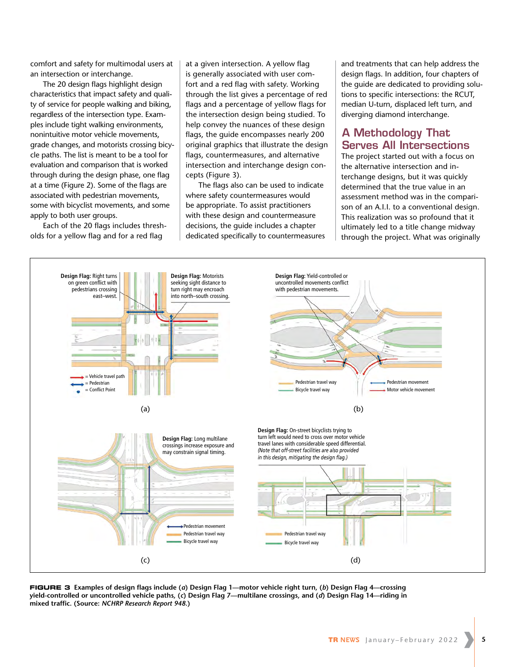comfort and safety for multimodal users at an intersection or interchange.

The 20 design flags highlight design characteristics that impact safety and quality of service for people walking and biking, regardless of the intersection type. Examples include tight walking environments, nonintuitive motor vehicle movements, grade changes, and motorists crossing bicycle paths. The list is meant to be a tool for evaluation and comparison that is worked through during the design phase, one flag at a time (Figure 2). Some of the flags are associated with pedestrian movements, some with bicyclist movements, and some apply to both user groups.

Each of the 20 flags includes thresholds for a yellow flag and for a red flag

at a given intersection. A yellow flag is generally associated with user comfort and a red flag with safety. Working through the list gives a percentage of red flags and a percentage of yellow flags for the intersection design being studied. To help convey the nuances of these design flags, the guide encompasses nearly 200 original graphics that illustrate the design flags, countermeasures, and alternative intersection and interchange design concepts (Figure 3).

The flags also can be used to indicate where safety countermeasures would be appropriate. To assist practitioners with these design and countermeasure decisions, the guide includes a chapter dedicated specifically to countermeasures

and treatments that can help address the design flags. In addition, four chapters of the guide are dedicated to providing solutions to specific intersections: the RCUT, median U-turn, displaced left turn, and diverging diamond interchange.

## **A Methodology That Serves All Intersections**

The project started out with a focus on the alternative intersection and interchange designs, but it was quickly determined that the true value in an assessment method was in the comparison of an A.I.I. to a conventional design. This realization was so profound that it ultimately led to a title change midway through the project. What was originally



**FIGURE 3 Examples of design flags include (***a***) Design Flag 1—motor vehicle right turn, (***b***) Design Flag 4—crossing yield-controlled or uncontrolled vehicle paths, (***c***) Design Flag 7—multilane crossings, and (***d***) Design Flag 14—riding in mixed traffic. (Source:** *NCHRP Research Report 948***.)**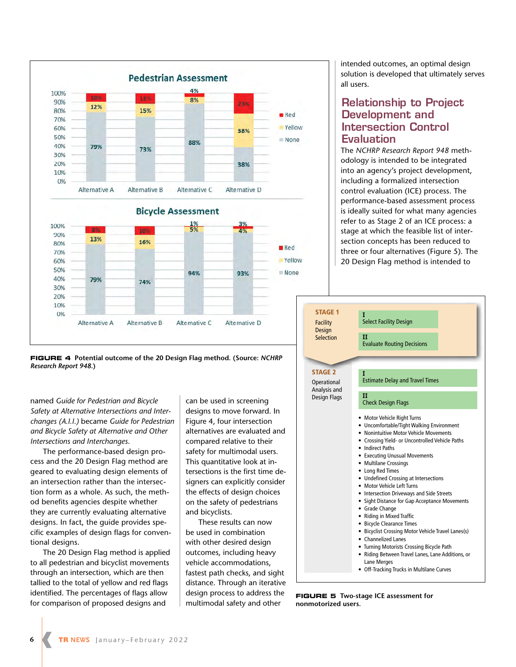

multimodal safety and other

**FIGURE 5 Two-stage ICE assessment for nonmotorized users.**

for comparison of proposed designs and

**6**